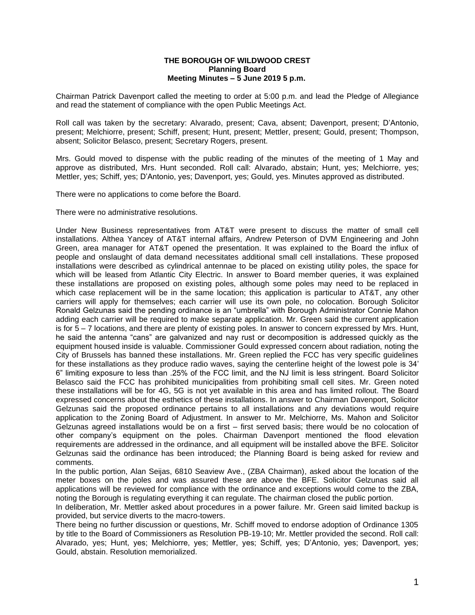## **THE BOROUGH OF WILDWOOD CREST Planning Board Meeting Minutes – 5 June 2019 5 p.m.**

Chairman Patrick Davenport called the meeting to order at 5:00 p.m. and lead the Pledge of Allegiance and read the statement of compliance with the open Public Meetings Act.

Roll call was taken by the secretary: Alvarado, present; Cava, absent; Davenport, present; D'Antonio, present; Melchiorre, present; Schiff, present; Hunt, present; Mettler, present; Gould, present; Thompson, absent; Solicitor Belasco, present; Secretary Rogers, present.

Mrs. Gould moved to dispense with the public reading of the minutes of the meeting of 1 May and approve as distributed, Mrs. Hunt seconded. Roll call: Alvarado, abstain; Hunt, yes; Melchiorre, yes; Mettler, yes; Schiff, yes; D'Antonio, yes; Davenport, yes; Gould, yes. Minutes approved as distributed.

There were no applications to come before the Board.

There were no administrative resolutions.

Under New Business representatives from AT&T were present to discuss the matter of small cell installations. Althea Yancey of AT&T internal affairs, Andrew Peterson of DVM Engineering and John Green, area manager for AT&T opened the presentation. It was explained to the Board the influx of people and onslaught of data demand necessitates additional small cell installations. These proposed installations were described as cylindrical antennae to be placed on existing utility poles, the space for which will be leased from Atlantic City Electric. In answer to Board member queries, it was explained these installations are proposed on existing poles, although some poles may need to be replaced in which case replacement will be in the same location; this application is particular to AT&T, any other carriers will apply for themselves; each carrier will use its own pole, no colocation. Borough Solicitor Ronald Gelzunas said the pending ordinance is an "umbrella" with Borough Administrator Connie Mahon adding each carrier will be required to make separate application. Mr. Green said the current application is for 5 – 7 locations, and there are plenty of existing poles. In answer to concern expressed by Mrs. Hunt, he said the antenna "cans" are galvanized and nay rust or decomposition is addressed quickly as the equipment housed inside is valuable. Commissioner Gould expressed concern about radiation, noting the City of Brussels has banned these installations. Mr. Green replied the FCC has very specific guidelines for these installations as they produce radio waves, saying the centerline height of the lowest pole is 34' 6" limiting exposure to less than .25% of the FCC limit, and the NJ limit is less stringent. Board Solicitor Belasco said the FCC has prohibited municipalities from prohibiting small cell sites. Mr. Green noted these installations will be for 4G, 5G is not yet available in this area and has limited rollout. The Board expressed concerns about the esthetics of these installations. In answer to Chairman Davenport, Solicitor Gelzunas said the proposed ordinance pertains to all installations and any deviations would require application to the Zoning Board of Adjustment. In answer to Mr. Melchiorre, Ms. Mahon and Solicitor Gelzunas agreed installations would be on a first – first served basis; there would be no colocation of other company's equipment on the poles. Chairman Davenport mentioned the flood elevation requirements are addressed in the ordinance, and all equipment will be installed above the BFE. Solicitor Gelzunas said the ordinance has been introduced; the Planning Board is being asked for review and comments.

In the public portion, Alan Seijas, 6810 Seaview Ave., (ZBA Chairman), asked about the location of the meter boxes on the poles and was assured these are above the BFE. Solicitor Gelzunas said all applications will be reviewed for compliance with the ordinance and exceptions would come to the ZBA, noting the Borough is regulating everything it can regulate. The chairman closed the public portion.

In deliberation, Mr. Mettler asked about procedures in a power failure. Mr. Green said limited backup is provided, but service diverts to the macro-towers.

There being no further discussion or questions, Mr. Schiff moved to endorse adoption of Ordinance 1305 by title to the Board of Commissioners as Resolution PB-19-10; Mr. Mettler provided the second. Roll call: Alvarado, yes; Hunt, yes; Melchiorre, yes; Mettler, yes; Schiff, yes; D'Antonio, yes; Davenport, yes; Gould, abstain. Resolution memorialized.